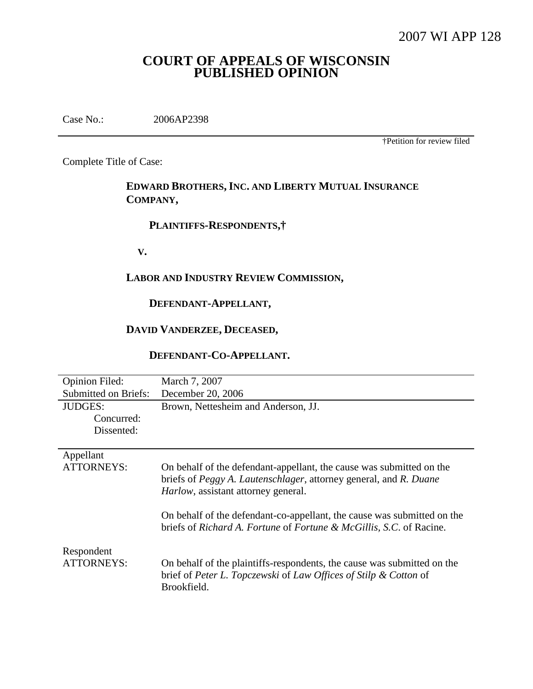# **COURT OF APPEALS OF WISCONSIN PUBLISHED OPINION**

Case No.: 2006AP2398

†Petition for review filed

Complete Title of Case:

**EDWARD BROTHERS,INC. AND LIBERTY MUTUAL INSURANCE COMPANY,**

## **PLAINTIFFS-RESPONDENTS,†**

**V.**

## **LABOR AND INDUSTRY REVIEW COMMISSION,**

# **DEFENDANT-APPELLANT,**

# **DAVID VANDERZEE, DECEASED,**

## **DEFENDANT-CO-APPELLANT.**

| <b>Opinion Filed:</b>       | March 7, 2007                                                                                                                                                                    |
|-----------------------------|----------------------------------------------------------------------------------------------------------------------------------------------------------------------------------|
| <b>Submitted on Briefs:</b> | December 20, 2006                                                                                                                                                                |
| <b>JUDGES:</b>              | Brown, Nettesheim and Anderson, JJ.                                                                                                                                              |
| Concurred:                  |                                                                                                                                                                                  |
| Dissented:                  |                                                                                                                                                                                  |
|                             |                                                                                                                                                                                  |
| Appellant                   |                                                                                                                                                                                  |
| <b>ATTORNEYS:</b>           | On behalf of the defendant-appellant, the cause was submitted on the<br>briefs of Peggy A. Lautenschlager, attorney general, and R. Duane<br>Harlow, assistant attorney general. |
|                             | On behalf of the defendant-co-appellant, the cause was submitted on the<br>briefs of Richard A. Fortune of Fortune & McGillis, S.C. of Racine.                                   |
| Respondent<br>ATTORNEYS:    | On behalf of the plaintiffs-respondents, the cause was submitted on the<br>brief of Peter L. Topczewski of Law Offices of Stilp & Cotton of<br>Brookfield.                       |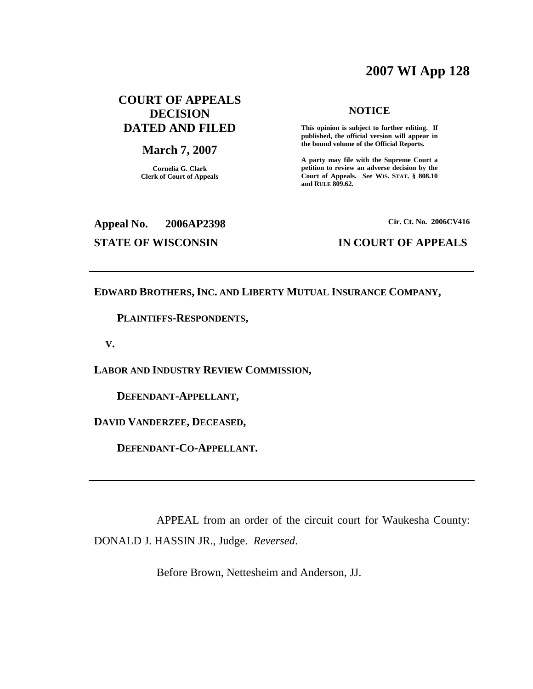# **2007 WI App 128**

# **COURT OF APPEALS DECISION DATED AND FILED**

#### **March 7, 2007**

**Cornelia G. Clark Clerk of Court of Appeals**

#### **NOTICE**

**This opinion is subject to further editing. If published, the official version will appear in the bound volume of the Official Reports.**

**A party may file with the Supreme Court a petition to review an adverse decision by the Court of Appeals.** *See* **WIS. STAT. § 808.10 and RULE 809.62.**

# **Appeal No. 2006AP2398**

**Cir. Ct. No. 2006CV416**

#### **STATE OF WISCONSIN IN COURT OF APPEALS**

**EDWARD BROTHERS,INC. AND LIBERTY MUTUAL INSURANCE COMPANY,**

**PLAINTIFFS-RESPONDENTS,**

**V.**

**LABOR AND INDUSTRY REVIEW COMMISSION,**

**DEFENDANT-APPELLANT,**

**DAVID VANDERZEE, DECEASED,**

**DEFENDANT-CO-APPELLANT.**

APPEAL from an order of the circuit court for Waukesha County: DONALD J. HASSIN JR., Judge. *Reversed*.

Before Brown, Nettesheim and Anderson, JJ.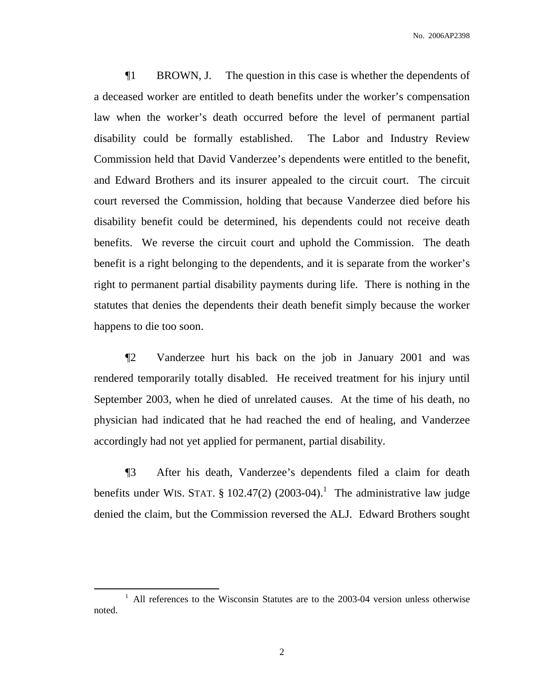¶1 BROWN, J. The question in this case is whether the dependents of a deceased worker are entitled to death benefits under the worker's compensation law when the worker's death occurred before the level of permanent partial disability could be formally established. The Labor and Industry Review Commission held that David Vanderzee's dependents were entitled to the benefit, and Edward Brothers and its insurer appealed to the circuit court. The circuit court reversed the Commission, holding that because Vanderzee died before his disability benefit could be determined, his dependents could not receive death benefits. We reverse the circuit court and uphold the Commission. The death benefit is a right belonging to the dependents, and it is separate from the worker's right to permanent partial disability payments during life. There is nothing in the statutes that denies the dependents their death benefit simply because the worker happens to die too soon.

¶2 Vanderzee hurt his back on the job in January 2001 and was rendered temporarily totally disabled. He received treatment for his injury until September 2003, when he died of unrelated causes. At the time of his death, no physician had indicated that he had reached the end of healing, and Vanderzee accordingly had not yet applied for permanent, partial disability.

¶3 After his death, Vanderzee's dependents filed a claim for death benefits under WIS. STAT.  $\S$  102.47(2) (2003-04).<sup>1</sup> The administrative law judge denied the claim, but the Commission reversed the ALJ. Edward Brothers sought

 $1$  All references to the Wisconsin Statutes are to the 2003-04 version unless otherwise noted.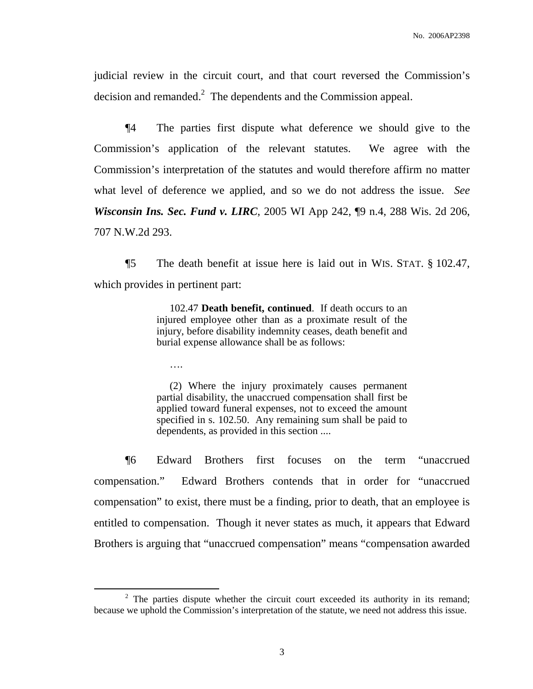judicial review in the circuit court, and that court reversed the Commission's decision and remanded. $2$  The dependents and the Commission appeal.

¶4 The parties first dispute what deference we should give to the Commission's application of the relevant statutes. We agree with the Commission's interpretation of the statutes and would therefore affirm no matter what level of deference we applied, and so we do not address the issue. *See Wisconsin Ins. Sec. Fund v. LIRC*, 2005 WI App 242, ¶9 n.4, 288 Wis. 2d 206, 707 N.W.2d 293.

¶5 The death benefit at issue here is laid out in WIS. STAT. § 102.47, which provides in pertinent part:

> 102.47 **Death benefit, continued**. If death occurs to an injured employee other than as a proximate result of the injury, before disability indemnity ceases, death benefit and burial expense allowance shall be as follows:

….

(2) Where the injury proximately causes permanent partial disability, the unaccrued compensation shall first be applied toward funeral expenses, not to exceed the amount specified in s. 102.50. Any remaining sum shall be paid to dependents, as provided in this section ....

¶6 Edward Brothers first focuses on the term "unaccrued compensation." Edward Brothers contends that in order for "unaccrued compensation" to exist, there must be a finding, prior to death, that an employee is entitled to compensation. Though it never states as much, it appears that Edward Brothers is arguing that "unaccrued compensation" means "compensation awarded

 $2$  The parties dispute whether the circuit court exceeded its authority in its remand; because we uphold the Commission's interpretation of the statute, we need not address this issue.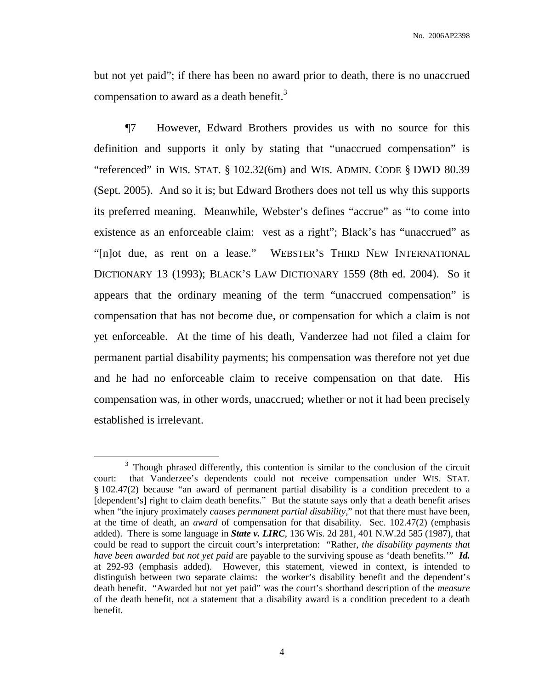but not yet paid"; if there has been no award prior to death, there is no unaccrued compensation to award as a death benefit.<sup>3</sup>

¶7 However, Edward Brothers provides us with no source for this definition and supports it only by stating that "unaccrued compensation" is "referenced" in WIS. STAT. § 102.32(6m) and WIS. ADMIN. CODE § DWD 80.39 (Sept. 2005). And so it is; but Edward Brothers does not tell us why this supports its preferred meaning. Meanwhile, Webster's defines "accrue" as "to come into existence as an enforceable claim: vest as a right"; Black's has "unaccrued" as "[n]ot due, as rent on a lease." WEBSTER'S THIRD NEW INTERNATIONAL DICTIONARY 13 (1993); BLACK'S LAW DICTIONARY 1559 (8th ed. 2004). So it appears that the ordinary meaning of the term "unaccrued compensation" is compensation that has not become due, or compensation for which a claim is not yet enforceable. At the time of his death, Vanderzee had not filed a claim for permanent partial disability payments; his compensation was therefore not yet due and he had no enforceable claim to receive compensation on that date. His compensation was, in other words, unaccrued; whether or not it had been precisely established is irrelevant.

4

<sup>&</sup>lt;sup>3</sup> Though phrased differently, this contention is similar to the conclusion of the circuit court: that Vanderzee's dependents could not receive compensation under WIS. STAT. § 102.47(2) because "an award of permanent partial disability is a condition precedent to a [dependent's] right to claim death benefits." But the statute says only that a death benefit arises when "the injury proximately *causes permanent partial disability*," not that there must have been, at the time of death, an *award* of compensation for that disability. Sec. 102.47(2) (emphasis added). There is some language in *State v. LIRC*, 136 Wis. 2d 281, 401 N.W.2d 585 (1987), that could be read to support the circuit court's interpretation: "Rather, *the disability payments that have been awarded but not yet paid* are payable to the surviving spouse as 'death benefits.'" *Id.* at 292-93 (emphasis added). However, this statement, viewed in context, is intended to distinguish between two separate claims: the worker's disability benefit and the dependent's death benefit. "Awarded but not yet paid" was the court's shorthand description of the *measure* of the death benefit, not a statement that a disability award is a condition precedent to a death benefit.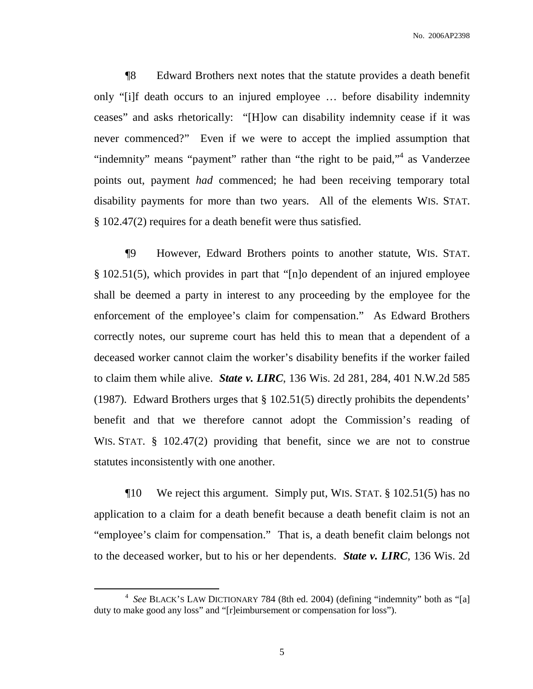¶8 Edward Brothers next notes that the statute provides a death benefit only "[i]f death occurs to an injured employee … before disability indemnity ceases" and asks rhetorically: "[H]ow can disability indemnity cease if it was never commenced?" Even if we were to accept the implied assumption that "indemnity" means "payment" rather than "the right to be paid,"<sup>4</sup> as Vanderzee points out, payment *had* commenced; he had been receiving temporary total disability payments for more than two years. All of the elements WIS. STAT. § 102.47(2) requires for a death benefit were thus satisfied.

¶9 However, Edward Brothers points to another statute, WIS. STAT. § 102.51(5), which provides in part that "[n]o dependent of an injured employee shall be deemed a party in interest to any proceeding by the employee for the enforcement of the employee's claim for compensation." As Edward Brothers correctly notes, our supreme court has held this to mean that a dependent of a deceased worker cannot claim the worker's disability benefits if the worker failed to claim them while alive. *State v. LIRC*, 136 Wis. 2d 281, 284, 401 N.W.2d 585 (1987). Edward Brothers urges that § 102.51(5) directly prohibits the dependents' benefit and that we therefore cannot adopt the Commission's reading of WIS. STAT. § 102.47(2) providing that benefit, since we are not to construe statutes inconsistently with one another.

¶10 We reject this argument. Simply put, WIS. STAT. § 102.51(5) has no application to a claim for a death benefit because a death benefit claim is not an "employee's claim for compensation." That is, a death benefit claim belongs not to the deceased worker, but to his or her dependents. *State v. LIRC*, 136 Wis. 2d

<sup>4</sup> *See* BLACK'S LAW DICTIONARY 784 (8th ed. 2004) (defining "indemnity" both as "[a] duty to make good any loss" and "[r]eimbursement or compensation for loss").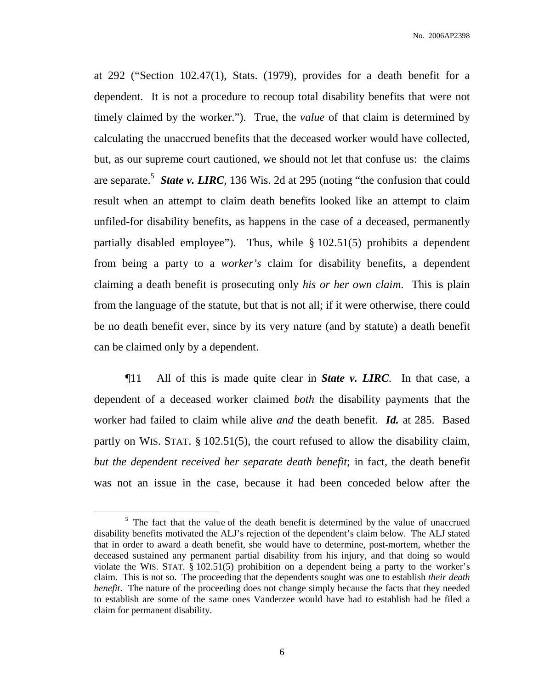at 292 ("Section 102.47(1), Stats. (1979), provides for a death benefit for a dependent. It is not a procedure to recoup total disability benefits that were not timely claimed by the worker."). True, the *value* of that claim is determined by calculating the unaccrued benefits that the deceased worker would have collected, but, as our supreme court cautioned, we should not let that confuse us: the claims are separate. 5 *State v. LIRC*, 136 Wis. 2d at 295 (noting "the confusion that could result when an attempt to claim death benefits looked like an attempt to claim unfiled-for disability benefits, as happens in the case of a deceased, permanently partially disabled employee"). Thus, while § 102.51(5) prohibits a dependent from being a party to a *worker's* claim for disability benefits, a dependent claiming a death benefit is prosecuting only *his or her own claim*. This is plain from the language of the statute, but that is not all; if it were otherwise, there could be no death benefit ever, since by its very nature (and by statute) a death benefit can be claimed only by a dependent.

¶11 All of this is made quite clear in *State v. LIRC*. In that case, a dependent of a deceased worker claimed *both* the disability payments that the worker had failed to claim while alive *and* the death benefit. *Id.* at 285. Based partly on WIS. STAT. § 102.51(5), the court refused to allow the disability claim, *but the dependent received her separate death benefit*; in fact, the death benefit was not an issue in the case, because it had been conceded below after the

 $5$  The fact that the value of the death benefit is determined by the value of unaccrued disability benefits motivated the ALJ's rejection of the dependent's claim below. The ALJ stated that in order to award a death benefit, she would have to determine, post-mortem, whether the deceased sustained any permanent partial disability from his injury, and that doing so would violate the WIS. STAT. § 102.51(5) prohibition on a dependent being a party to the worker's claim. This is not so. The proceeding that the dependents sought was one to establish *their death benefit*. The nature of the proceeding does not change simply because the facts that they needed to establish are some of the same ones Vanderzee would have had to establish had he filed a claim for permanent disability.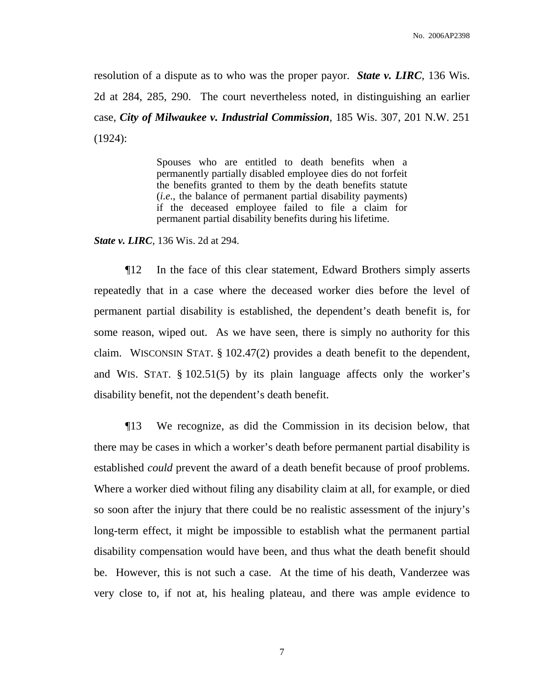resolution of a dispute as to who was the proper payor. *State v. LIRC*, 136 Wis. 2d at 284, 285, 290. The court nevertheless noted, in distinguishing an earlier case, *City of Milwaukee v. Industrial Commission*, 185 Wis. 307, 201 N.W. 251 (1924):

> Spouses who are entitled to death benefits when a permanently partially disabled employee dies do not forfeit the benefits granted to them by the death benefits statute (*i.e*., the balance of permanent partial disability payments) if the deceased employee failed to file a claim for permanent partial disability benefits during his lifetime.

*State v. LIRC*, 136 Wis. 2d at 294.

¶12 In the face of this clear statement, Edward Brothers simply asserts repeatedly that in a case where the deceased worker dies before the level of permanent partial disability is established, the dependent's death benefit is, for some reason, wiped out. As we have seen, there is simply no authority for this claim. WISCONSIN STAT. § 102.47(2) provides a death benefit to the dependent, and WIS. STAT. § 102.51(5) by its plain language affects only the worker's disability benefit, not the dependent's death benefit.

¶13 We recognize, as did the Commission in its decision below, that there may be cases in which a worker's death before permanent partial disability is established *could* prevent the award of a death benefit because of proof problems. Where a worker died without filing any disability claim at all, for example, or died so soon after the injury that there could be no realistic assessment of the injury's long-term effect, it might be impossible to establish what the permanent partial disability compensation would have been, and thus what the death benefit should be. However, this is not such a case. At the time of his death, Vanderzee was very close to, if not at, his healing plateau, and there was ample evidence to